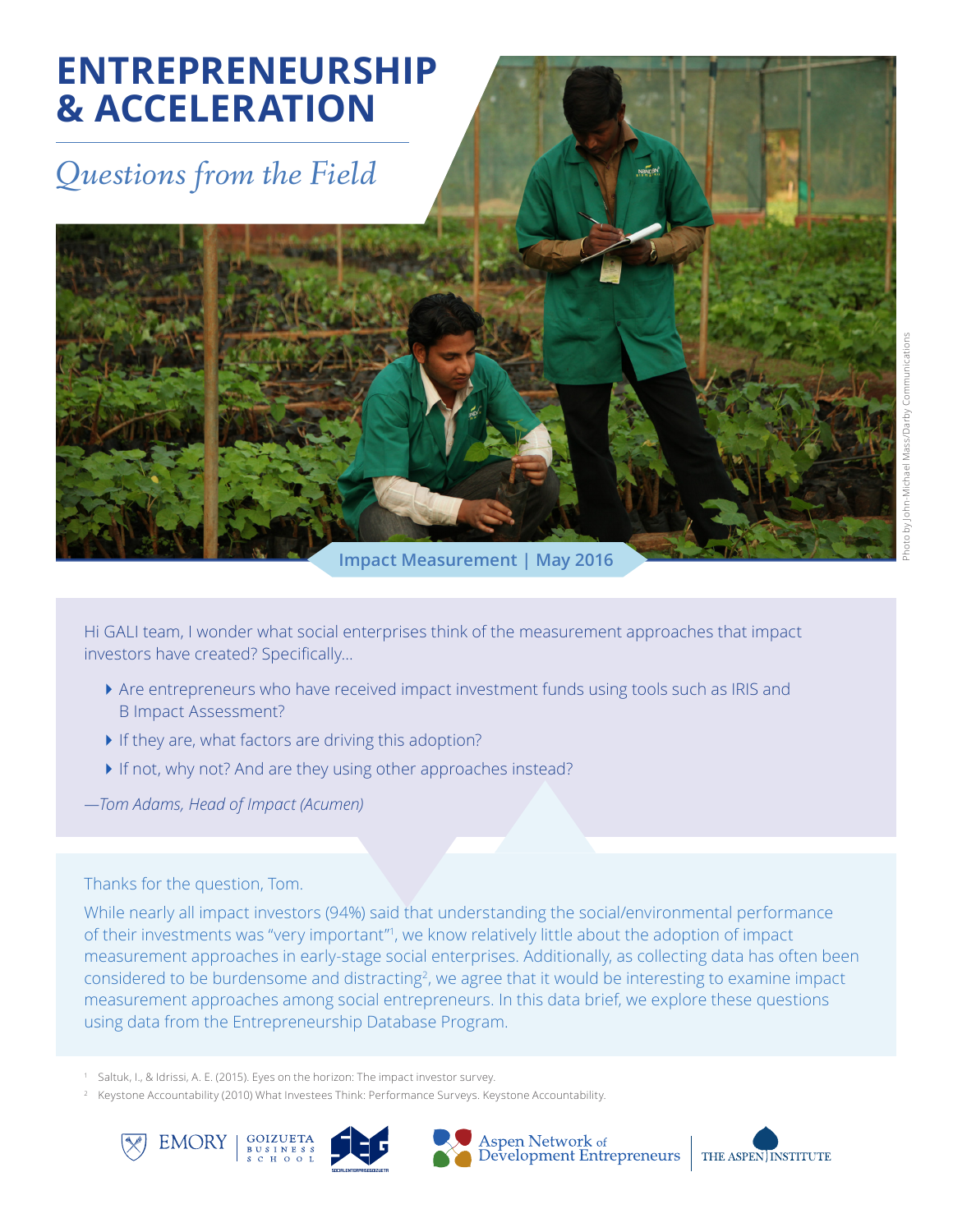# **ENTREPRENEURSHIP & ACCELERATION**

# *Questions from the Field*

**Impact Measurement | May 2016**

Hi GALI team, I wonder what social enterprises think of the measurement approaches that impact investors have created? Specifically…

- ` Are entrepreneurs who have received impact investment funds using tools such as IRIS and B Impact Assessment?
- $\blacktriangleright$  If they are, what factors are driving this adoption?
- If not, why not? And are they using other approaches instead?
- *—Tom Adams, Head of Impact (Acumen)*

#### Thanks for the question, Tom.

While nearly all impact investors (94%) said that understanding the social/environmental performance of their investments was "very important"<sup>1</sup>, we know relatively little about the adoption of impact measurement approaches in early-stage social enterprises. Additionally, as collecting data has often been considered to be burdensome and distracting<sup>2</sup>, we agree that it would be interesting to examine impact measurement approaches among social entrepreneurs. In this data brief, we explore these questions using data from the Entrepreneurship Database Program.

<sup>1</sup> Saltuk, I., & Idrissi, A. E. (2015). Eyes on the horizon: The impact investor survey.

<sup>2</sup> Keystone Accountability (2010) What Investees Think: Performance Surveys. Keystone Accountability.









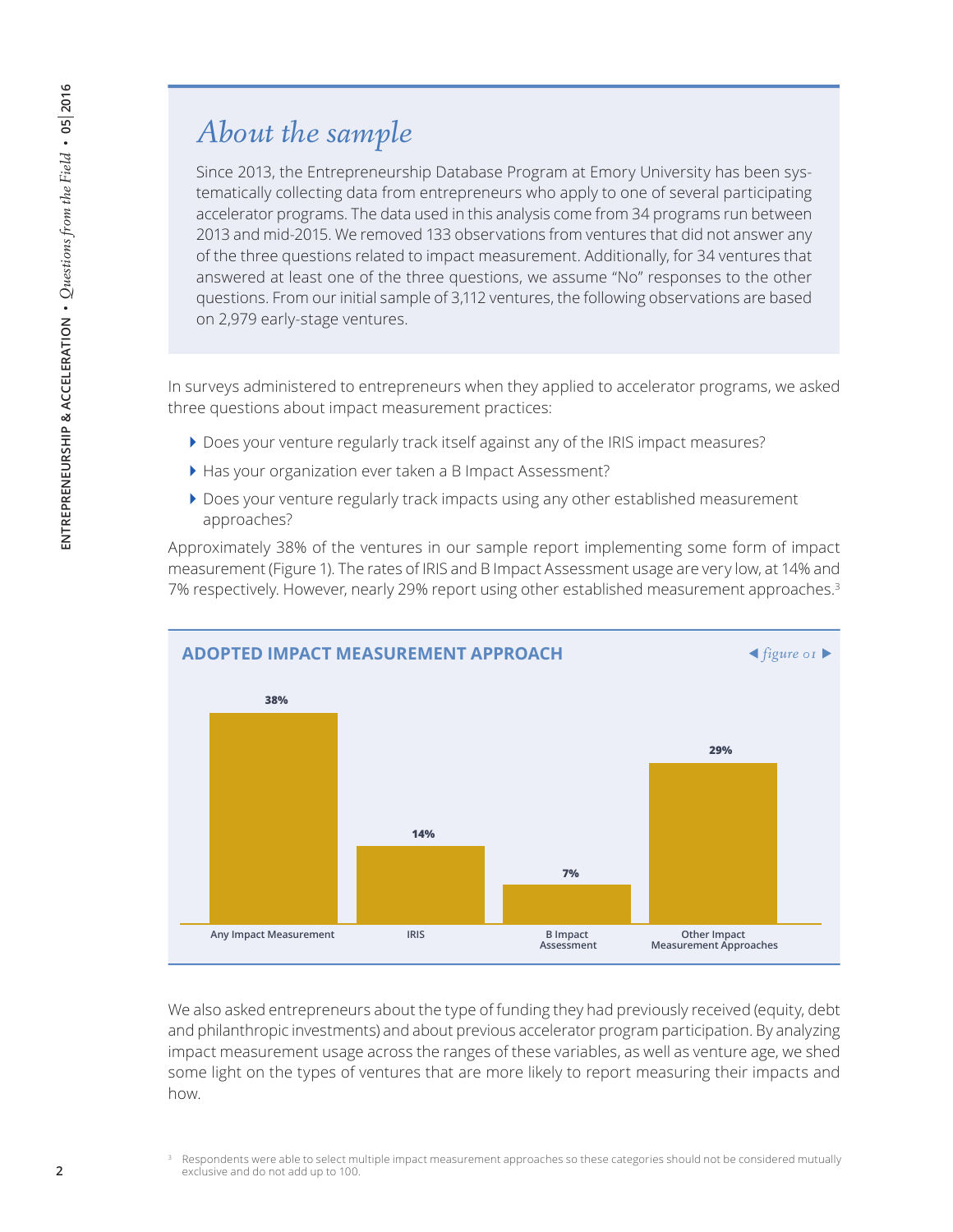### *About the sample*

Since 2013, the Entrepreneurship Database Program at Emory University has been systematically collecting data from entrepreneurs who apply to one of several participating accelerator programs. The data used in this analysis come from 34 programs run between 2013 and mid-2015. We removed 133 observations from ventures that did not answer any of the three questions related to impact measurement. Additionally, for 34 ventures that answered at least one of the three questions, we assume "No" responses to the other questions. From our initial sample of 3,112 ventures, the following observations are based on 2,979 early-stage ventures.

In surveys administered to entrepreneurs when they applied to accelerator programs, we asked three questions about impact measurement practices:

- ` Does your venture regularly track itself against any of the IRIS impact measures?
- ` Has your organization ever taken a B Impact Assessment?
- ` Does your venture regularly track impacts using any other established measurement approaches?

Approximately 38% of the ventures in our sample report implementing some form of impact measurement (Figure 1). The rates of IRIS and B Impact Assessment usage are very low, at 14% and 7% respectively. However, nearly 29% report using other established measurement approaches.<sup>3</sup>



We also asked entrepreneurs about the type of funding they had previously received (equity, debt and philanthropic investments) and about previous accelerator program participation. By analyzing impact measurement usage across the ranges of these variables, as well as venture age, we shed some light on the types of ventures that are more likely to report measuring their impacts and how.

<sup>3</sup> Respondents were able to select multiple impact measurement approaches so these categories should not be considered mutually exclusive and do not add up to 100.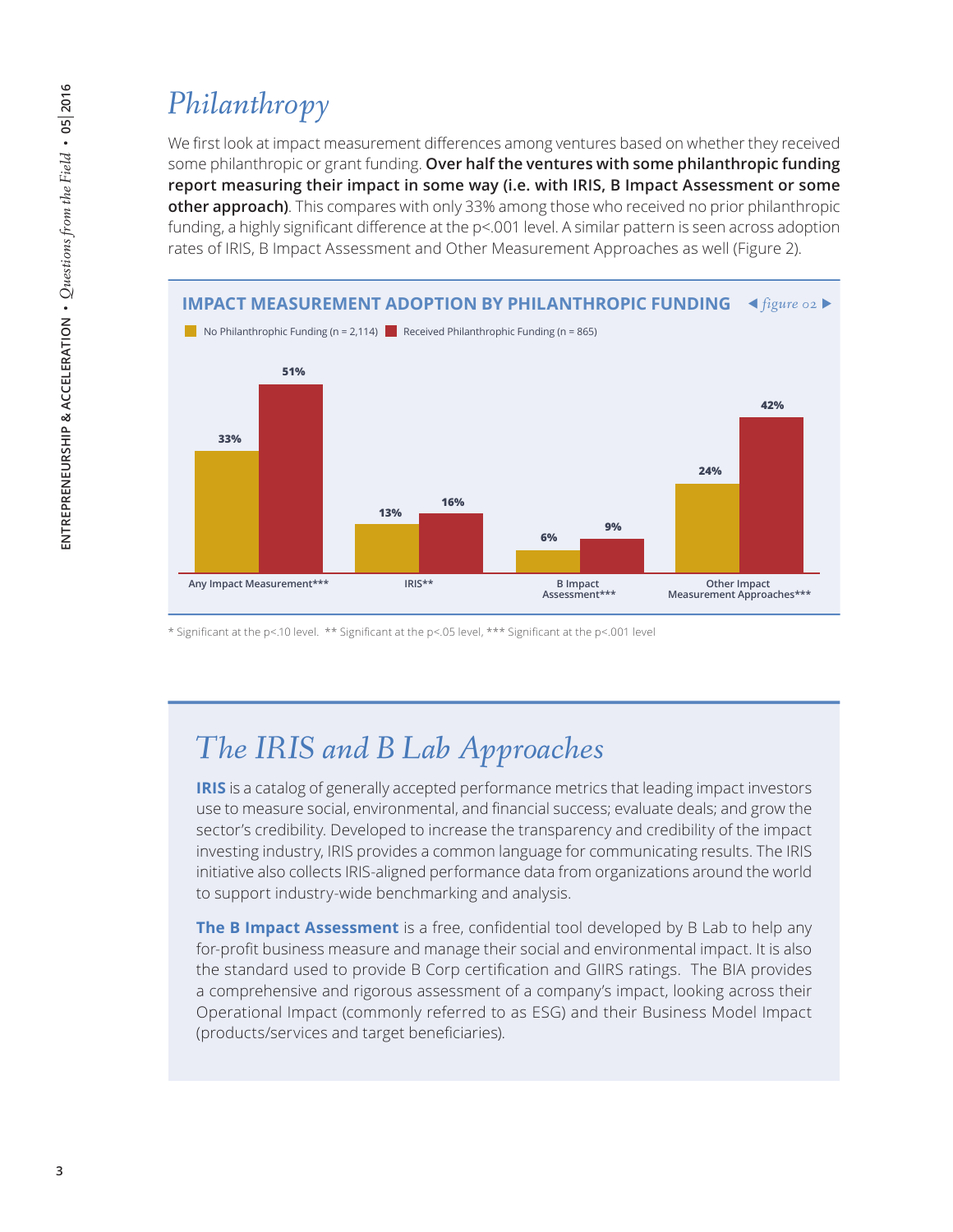## *Philanthropy*

We first look at impact measurement differences among ventures based on whether they received some philanthropic or grant funding. **Over half the ventures with some philanthropic funding report measuring their impact in some way (i.e. with IRIS, B Impact Assessment or some other approach)**. This compares with only 33% among those who received no prior philanthropic funding, a highly significant difference at the p<.001 level. A similar pattern is seen across adoption rates of IRIS, B Impact Assessment and Other Measurement Approaches as well (Figure 2).



\* Significant at the p<.10 level. \*\* Significant at the p<.05 level, \*\*\* Significant at the p<.001 level

### *The IRIS and B Lab Approaches*

**IRIS** is a catalog of generally accepted performance metrics that leading impact investors use to measure social, environmental, and financial success; evaluate deals; and grow the sector's credibility. Developed to increase the transparency and credibility of the impact investing industry, IRIS provides a common language for communicating results. The IRIS initiative also collects IRIS-aligned performance data from organizations around the world to support industry-wide benchmarking and analysis.

**The B Impact Assessment** is a free, confidential tool developed by B Lab to help any for-profit business measure and manage their social and environmental impact. It is also the standard used to provide B Corp certification and GIIRS ratings. The BIA provides a comprehensive and rigorous assessment of a company's impact, looking across their Operational Impact (commonly referred to as ESG) and their Business Model Impact (products/services and target beneficiaries).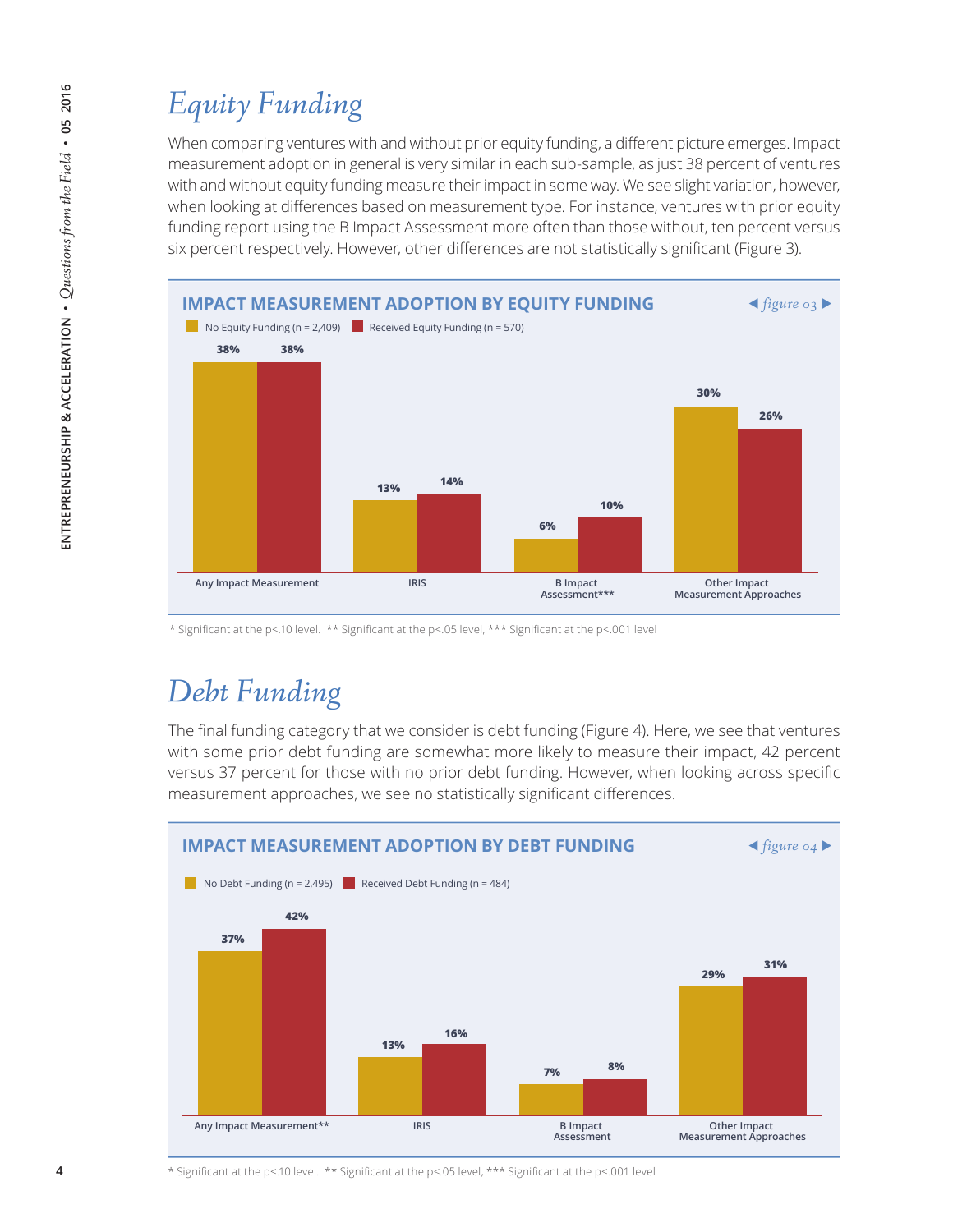# *Equity Funding*

When comparing ventures with and without prior equity funding, a different picture emerges. Impact measurement adoption in general is very similar in each sub-sample, as just 38 percent of ventures with and without equity funding measure their impact in some way. We see slight variation, however, when looking at differences based on measurement type. For instance, ventures with prior equity funding report using the B Impact Assessment more often than those without, ten percent versus six percent respectively. However, other differences are not statistically significant (Figure 3).



\* Significant at the p<.10 level. \*\* Significant at the p<.05 level, \*\*\* Significant at the p<.001 level

### *Debt Funding*

The final funding category that we consider is debt funding (Figure 4). Here, we see that ventures with some prior debt funding are somewhat more likely to measure their impact, 42 percent versus 37 percent for those with no prior debt funding. However, when looking across specific measurement approaches, we see no statistically significant differences.



\* Significant at the p<.10 level. \*\* Significant at the p<.05 level, \*\*\* Significant at the p<.001 level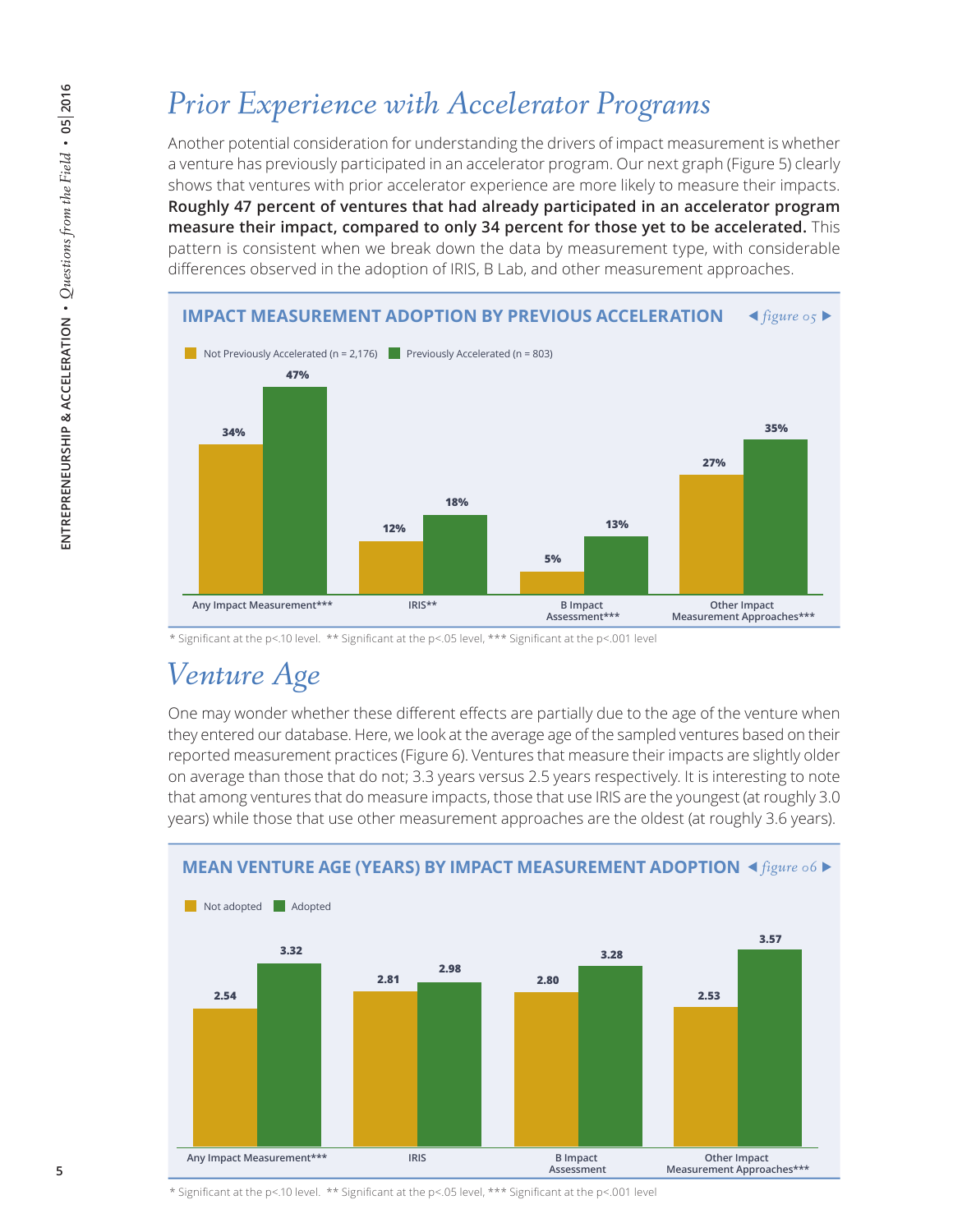### *Prior Experience with Accelerator Programs*

Another potential consideration for understanding the drivers of impact measurement is whether a venture has previously participated in an accelerator program. Our next graph (Figure 5) clearly shows that ventures with prior accelerator experience are more likely to measure their impacts. **Roughly 47 percent of ventures that had already participated in an accelerator program measure their impact, compared to only 34 percent for those yet to be accelerated.** This pattern is consistent when we break down the data by measurement type, with considerable differences observed in the adoption of IRIS, B Lab, and other measurement approaches.



<sup>\*</sup> Significant at the p<.10 level. \*\* Significant at the p<.05 level, \*\*\* Significant at the p<.001 level

#### *Venture Age*

One may wonder whether these different effects are partially due to the age of the venture when they entered our database. Here, we look at the average age of the sampled ventures based on their reported measurement practices (Figure 6). Ventures that measure their impacts are slightly older on average than those that do not; 3.3 years versus 2.5 years respectively. It is interesting to note that among ventures that do measure impacts, those that use IRIS are the youngest (at roughly 3.0 years) while those that use other measurement approaches are the oldest (at roughly 3.6 years).



\* Significant at the p<.10 level. \*\* Significant at the p<.05 level, \*\*\* Significant at the p<.001 level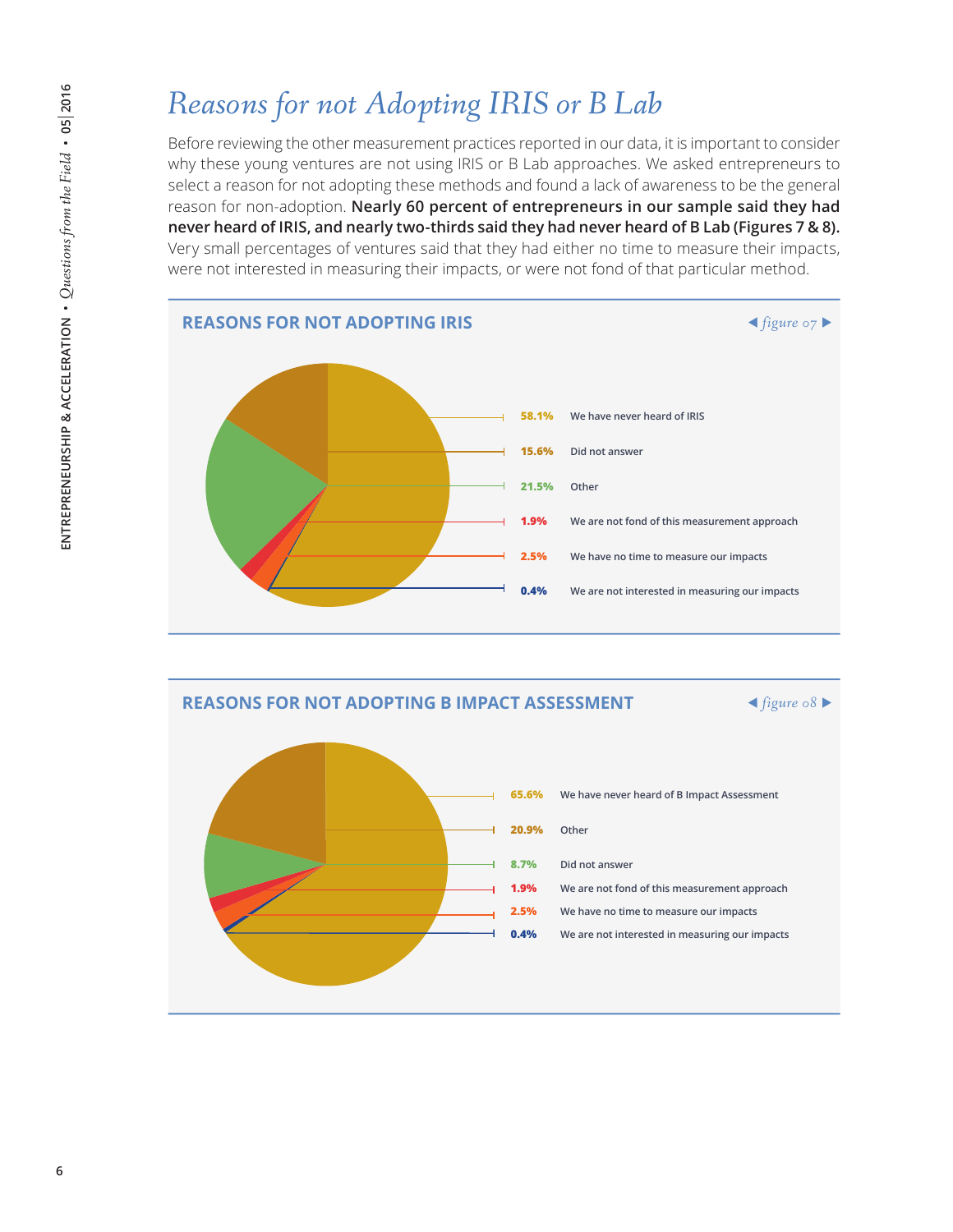# *Reasons for not Adopting IRIS or B Lab*

Before reviewing the other measurement practices reported in our data, it is important to consider why these young ventures are not using IRIS or B Lab approaches. We asked entrepreneurs to select a reason for not adopting these methods and found a lack of awareness to be the general reason for non-adoption. **Nearly 60 percent of entrepreneurs in our sample said they had never heard of IRIS, and nearly two-thirds said they had never heard of B Lab (Figures 7 & 8).**  Very small percentages of ventures said that they had either no time to measure their impacts, were not interested in measuring their impacts, or were not fond of that particular method.



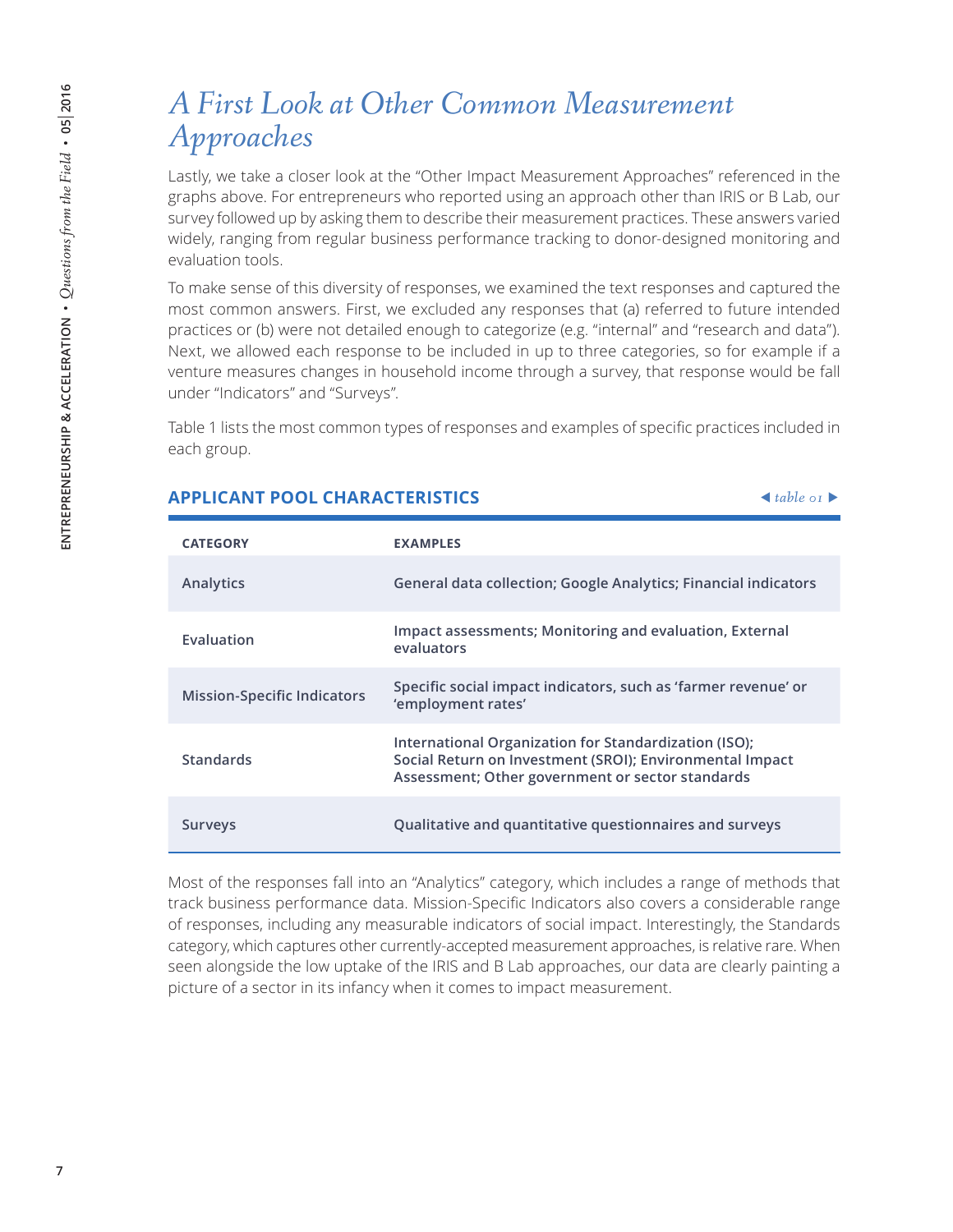#### *A First Look at Other Common Measurement Approaches*

Lastly, we take a closer look at the "Other Impact Measurement Approaches" referenced in the graphs above. For entrepreneurs who reported using an approach other than IRIS or B Lab, our survey followed up by asking them to describe their measurement practices. These answers varied widely, ranging from regular business performance tracking to donor-designed monitoring and evaluation tools.

To make sense of this diversity of responses, we examined the text responses and captured the most common answers. First, we excluded any responses that (a) referred to future intended practices or (b) were not detailed enough to categorize (e.g. "internal" and "research and data"). Next, we allowed each response to be included in up to three categories, so for example if a venture measures changes in household income through a survey, that response would be fall under "Indicators" and "Surveys".

Table 1 lists the most common types of responses and examples of specific practices included in each group.

| <b>CATEGORY</b>                    | <b>EXAMPLES</b>                                                                                                                                                       |
|------------------------------------|-----------------------------------------------------------------------------------------------------------------------------------------------------------------------|
| Analytics                          | General data collection; Google Analytics; Financial indicators                                                                                                       |
| Evaluation                         | Impact assessments; Monitoring and evaluation, External<br>evaluators                                                                                                 |
| <b>Mission-Specific Indicators</b> | Specific social impact indicators, such as 'farmer revenue' or<br>'employment rates'                                                                                  |
| <b>Standards</b>                   | International Organization for Standardization (ISO);<br>Social Return on Investment (SROI); Environmental Impact<br>Assessment; Other government or sector standards |
| Surveys                            | Qualitative and quantitative questionnaires and surveys                                                                                                               |

#### **APPLICANT POOL CHARACTERISTICS**  *table 01*

Most of the responses fall into an "Analytics" category, which includes a range of methods that track business performance data. Mission-Specific Indicators also covers a considerable range of responses, including any measurable indicators of social impact. Interestingly, the Standards category, which captures other currently-accepted measurement approaches, is relative rare. When seen alongside the low uptake of the IRIS and B Lab approaches, our data are clearly painting a picture of a sector in its infancy when it comes to impact measurement.